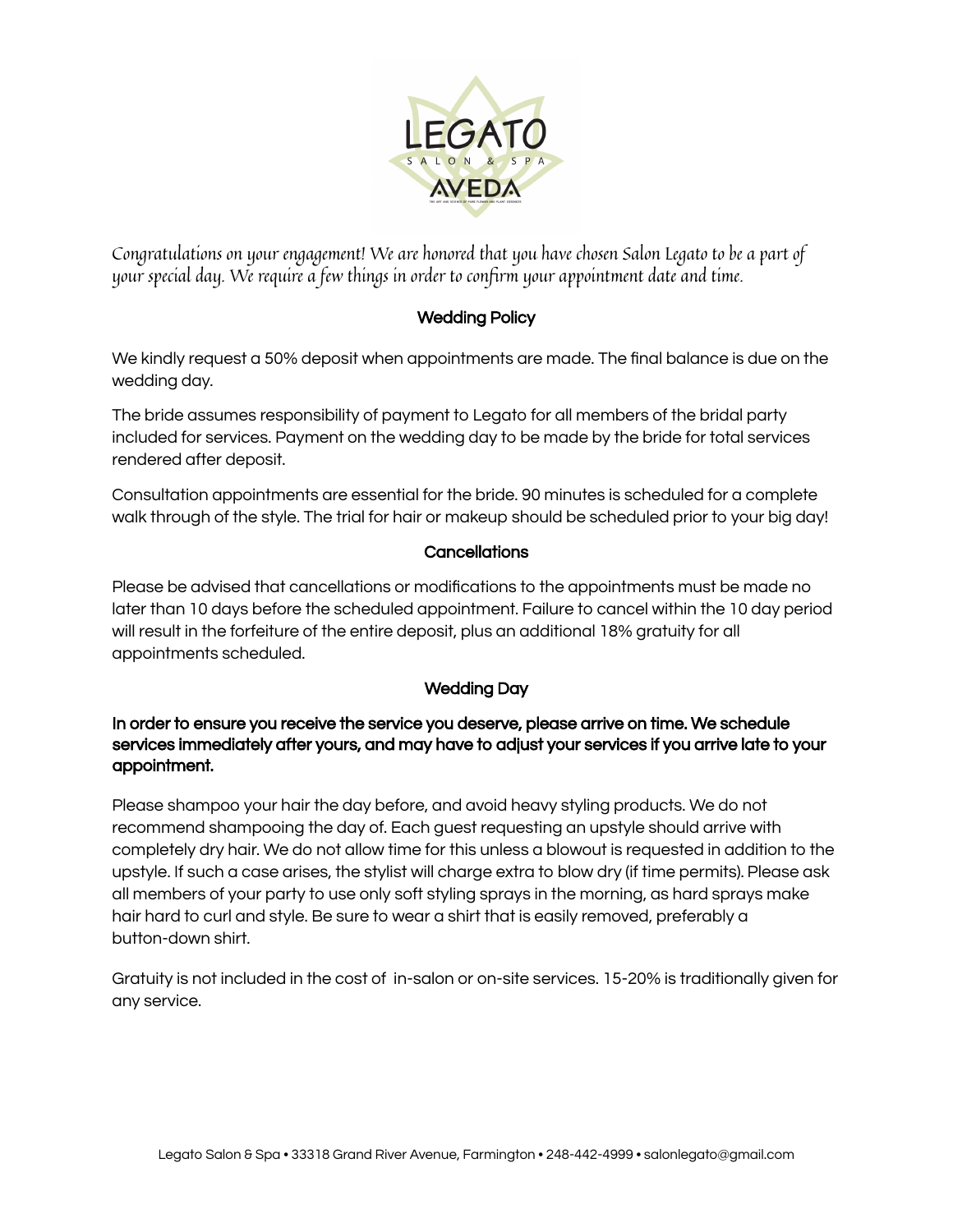

Congratulations on your engagement! We are honored that you have chosen Salon Legato to be a part of your special day. We require a few things in order to confirm your appointment date and time.

## Wedding Policy

We kindly request a 50% deposit when appointments are made. The final balance is due on the wedding day.

The bride assumes responsibility of payment to Legato for all members of the bridal party included for services. Payment on the wedding day to be made by the bride for total services rendered after deposit.

Consultation appointments are essential for the bride. 90 minutes is scheduled for a complete walk through of the style. The trial for hair or makeup should be scheduled prior to your big day!

## **Cancellations**

Please be advised that cancellations or modifications to the appointments must be made no later than 10 days before the scheduled appointment. Failure to cancel within the 10 day period will result in the forfeiture of the entire deposit, plus an additional 18% gratuity for all appointments scheduled.

## Wedding Day

In order to ensure you receive the service you deserve, please arrive on time. We schedule services immediately after yours, and may have to adjust your services if you arrive late to your appointment.

Please shampoo your hair the day before, and avoid heavy styling products. We do not recommend shampooing the day of. Each guest requesting an upstyle should arrive with completely dry hair. We do not allow time for this unless a blowout is requested in addition to the upstyle. If such a case arises, the stylist will charge extra to blow dry (if time permits). Please ask all members of your party to use only soft styling sprays in the morning, as hard sprays make hair hard to curl and style. Be sure to wear a shirt that is easily removed, preferably a button-down shirt.

Gratuity is not included in the cost of in-salon or on-site services. 15-20% is traditionally given for any service.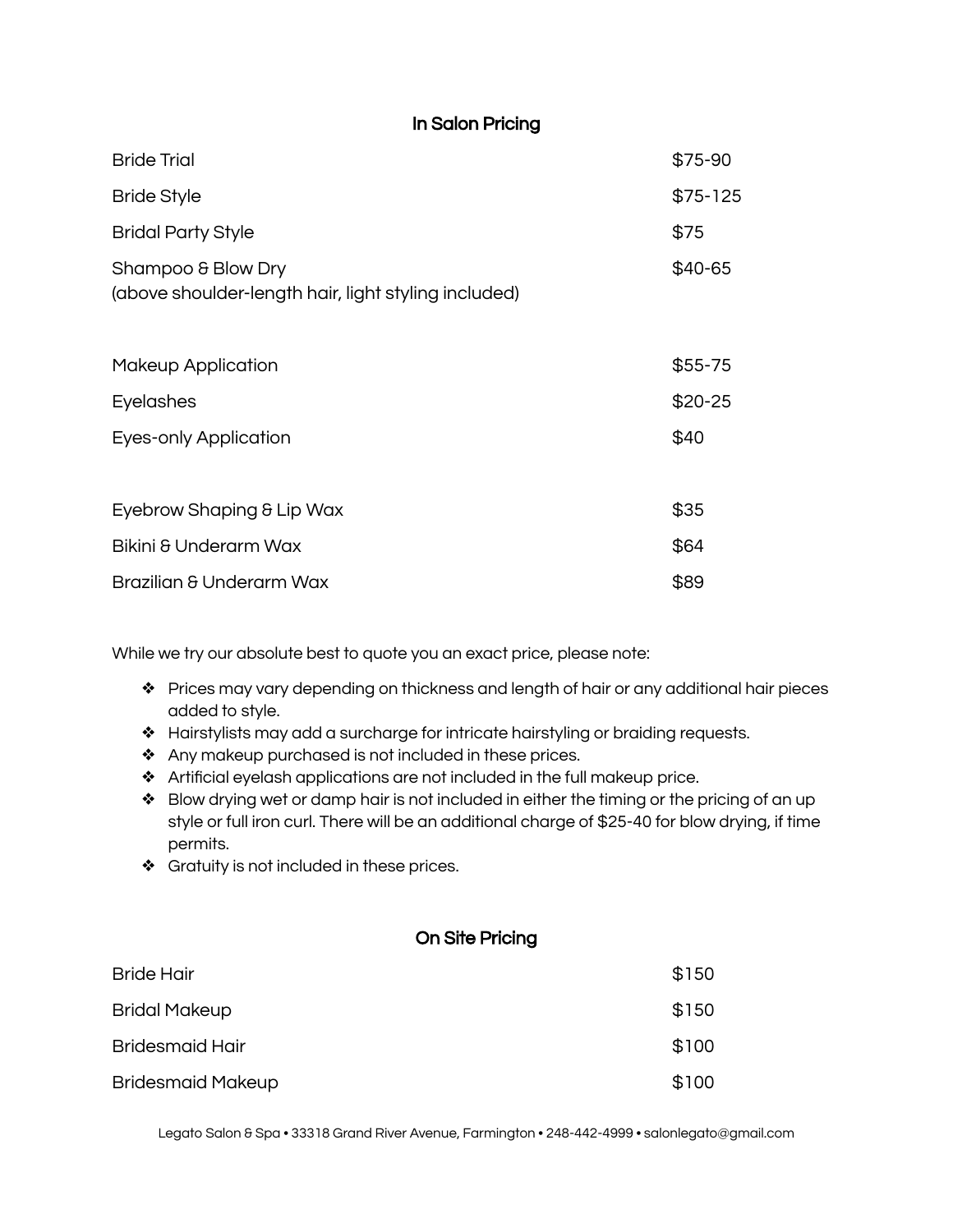| <b>Bride Trial</b>                                                         | \$75-90   |
|----------------------------------------------------------------------------|-----------|
| <b>Bride Style</b>                                                         | $$75-125$ |
| <b>Bridal Party Style</b>                                                  | \$75      |
| Shampoo & Blow Dry<br>(above shoulder-length hair, light styling included) | \$40-65   |
| <b>Makeup Application</b>                                                  | $$55-75$  |
| <b>Eyelashes</b>                                                           | $$20-25$  |
| <b>Eyes-only Application</b>                                               | \$40      |
| Eyebrow Shaping & Lip Wax                                                  | \$35      |
| Bikini & Underarm Wax                                                      | \$64      |
| Brazilian & Underarm Wax                                                   | \$89      |

In Salon Pricing

While we try our absolute best to quote you an exact price, please note:

- ❖ Prices may vary depending on thickness and length of hair or any additional hair pieces added to style.
- ❖ Hairstylists may add a surcharge for intricate hairstyling or braiding requests.
- ❖ Any makeup purchased is not included in these prices.
- ❖ Artificial eyelash applications are not included in the full makeup price.
- ❖ Blow drying wet or damp hair is not included in either the timing or the pricing of an up style or full iron curl. There will be an additional charge of \$25-40 for blow drying, if time permits.
- ❖ Gratuity is not included in these prices.

## On Site Pricing

| <b>Bride Hair</b>        | \$150 |
|--------------------------|-------|
| <b>Bridal Makeup</b>     | \$150 |
| <b>Bridesmaid Hair</b>   | \$100 |
| <b>Bridesmaid Makeup</b> | \$100 |

Legato Salon & Spa • 33318 Grand River Avenue, Farmington • 248-442-4999 • salonlegato@gmail.com